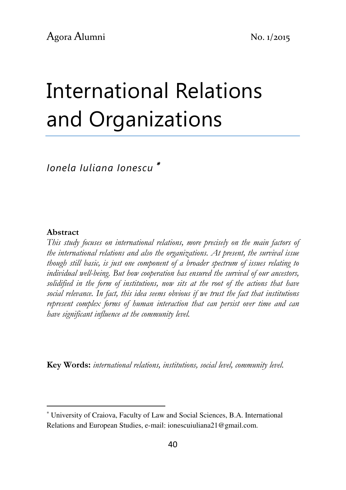# International Relations and Organizations

Ionela Iuliana Ionescu <sup>∗</sup>

#### Abstract

l

This study focuses on international relations, more precisely on the main factors of the international relations and also the organizations. At present, the survival issue though still basic, is just one component of a broader spectrum of issues relating to individual well-being. But how cooperation has ensured the survival of our ancestors, solidified in the form of institutions, now sits at the root of the actions that have social relevance. In fact, this idea seems obvious if we trust the fact that institutions represent complex forms of human interaction that can persist over time and can have significant influence at the community level.

Key Words: international relations, institutions, social level, community level.

<sup>∗</sup> University of Craiova, Faculty of Law and Social Sciences, B.A. International Relations and European Studies, e-mail: ionescuiuliana21@gmail.com.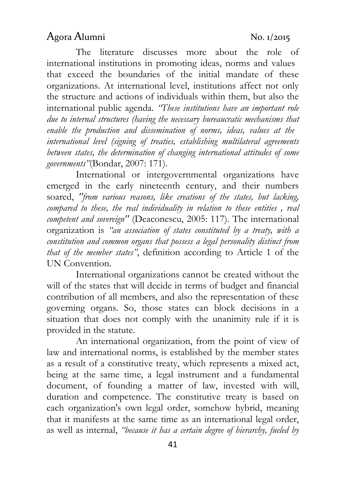The literature discusses more about the role of international institutions in promoting ideas, norms and values that exceed the boundaries of the initial mandate of these organizations. At international level, institutions affect not only the structure and actions of individuals within them, but also the international public agenda. "These institutions have an important role due to internal structures (having the necessary bureaucratic mechanisms that enable the production and dissemination of norms, ideas, values at the international level (signing of treaties, establishing multilateral agreements between states, the determination of changing international attitudes of some governments"(Bondar, 2007: 171).

International or intergovernmental organizations have emerged in the early nineteenth century, and their numbers soared, "from various reasons, like creations of the states, but lacking, compared to these, the real individuality in relation to these entities , real competent and sovereign'' (Deaconescu, 2005: 117). The international organization is "an association of states constituted by a treaty, with a constitution and common organs that possess a legal personality distinct from that of the member states", definition according to Article 1 of the UN Convention.

International organizations cannot be created without the will of the states that will decide in terms of budget and financial contribution of all members, and also the representation of these governing organs. So, those states can block decisions in a situation that does not comply with the unanimity rule if it is provided in the statute.

An international organization, from the point of view of law and international norms, is established by the member states as a result of a constitutive treaty, which represents a mixed act, being at the same time, a legal instrument and a fundamental document, of founding a matter of law, invested with will, duration and competence. The constitutive treaty is based on each organization's own legal order, somehow hybrid, meaning that it manifests at the same time as an international legal order, as well as internal, "because it has a certain degree of hierarchy, fueled by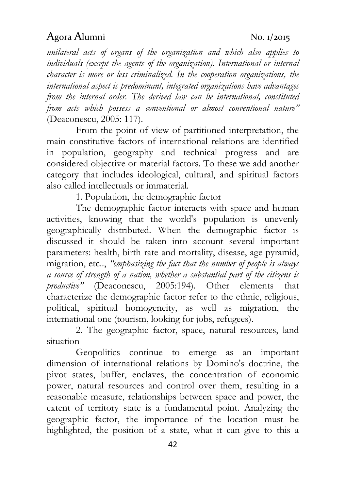unilateral acts of organs of the organization and which also applies to individuals (except the agents of the organization). International or internal character is more or less criminalized. In the cooperation organizations, the international aspect is predominant, integrated organizations have advantages from the internal order. The derived law can be international, constituted from acts which possess a conventional or almost conventional nature" (Deaconescu, 2005: 117).

From the point of view of partitioned interpretation, the main constitutive factors of international relations are identified in population, geography and technical progress and are considered objective or material factors. To these we add another category that includes ideological, cultural, and spiritual factors also called intellectuals or immaterial.

1. Population, the demographic factor

The demographic factor interacts with space and human activities, knowing that the world's population is unevenly geographically distributed. When the demographic factor is discussed it should be taken into account several important parameters: health, birth rate and mortality, disease, age pyramid, migration, etc.., "emphasizing the fact that the number of people is always a source of strength of a nation, whether a substantial part of the citizens is productive" (Deaconescu, 2005:194). Other elements that characterize the demographic factor refer to the ethnic, religious, political, spiritual homogeneity, as well as migration, the international one (tourism, looking for jobs, refugees).

2. The geographic factor, space, natural resources, land situation

Geopolitics continue to emerge as an important dimension of international relations by Domino's doctrine, the pivot states, buffer, enclaves, the concentration of economic power, natural resources and control over them, resulting in a reasonable measure, relationships between space and power, the extent of territory state is a fundamental point. Analyzing the geographic factor, the importance of the location must be highlighted, the position of a state, what it can give to this a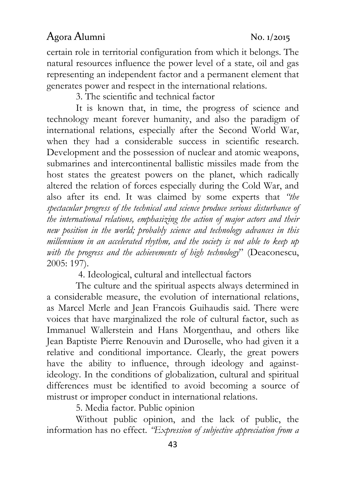certain role in territorial configuration from which it belongs. The natural resources influence the power level of a state, oil and gas representing an independent factor and a permanent element that generates power and respect in the international relations.

3. The scientific and technical factor

It is known that, in time, the progress of science and technology meant forever humanity, and also the paradigm of international relations, especially after the Second World War, when they had a considerable success in scientific research. Development and the possession of nuclear and atomic weapons, submarines and intercontinental ballistic missiles made from the host states the greatest powers on the planet, which radically altered the relation of forces especially during the Cold War, and also after its end. It was claimed by some experts that "the spectacular progress of the technical and science produce serious disturbance of the international relations, emphasizing the action of major actors and their new position in the world; probably science and technology advances in this millennium in an accelerated rhythm, and the society is not able to keep up with the progress and the achievements of high technology" (Deaconescu, 2005: 197).

4. Ideological, cultural and intellectual factors

 The culture and the spiritual aspects always determined in a considerable measure, the evolution of international relations, as Marcel Merle and Jean Francois Guihaudis said. There were voices that have marginalized the role of cultural factor, such as Immanuel Wallerstein and Hans Morgenthau, and others like Jean Baptiste Pierre Renouvin and Duroselle, who had given it a relative and conditional importance. Clearly, the great powers have the ability to influence, through ideology and againstideology. In the conditions of globalization, cultural and spiritual differences must be identified to avoid becoming a source of mistrust or improper conduct in international relations.

5. Media factor. Public opinion

Without public opinion, and the lack of public, the information has no effect. "Expression of subjective appreciation from a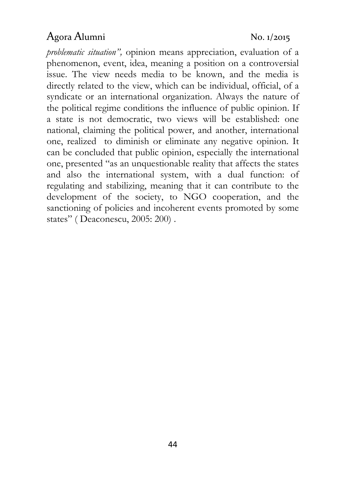problematic situation", opinion means appreciation, evaluation of a phenomenon, event, idea, meaning a position on a controversial issue. The view needs media to be known, and the media is directly related to the view, which can be individual, official, of a syndicate or an international organization. Always the nature of the political regime conditions the influence of public opinion. If a state is not democratic, two views will be established: one national, claiming the political power, and another, international one, realized to diminish or eliminate any negative opinion. It can be concluded that public opinion, especially the international one, presented "as an unquestionable reality that affects the states and also the international system, with a dual function: of regulating and stabilizing, meaning that it can contribute to the development of the society, to NGO cooperation, and the sanctioning of policies and incoherent events promoted by some states" (Deaconescu, 2005: 200).